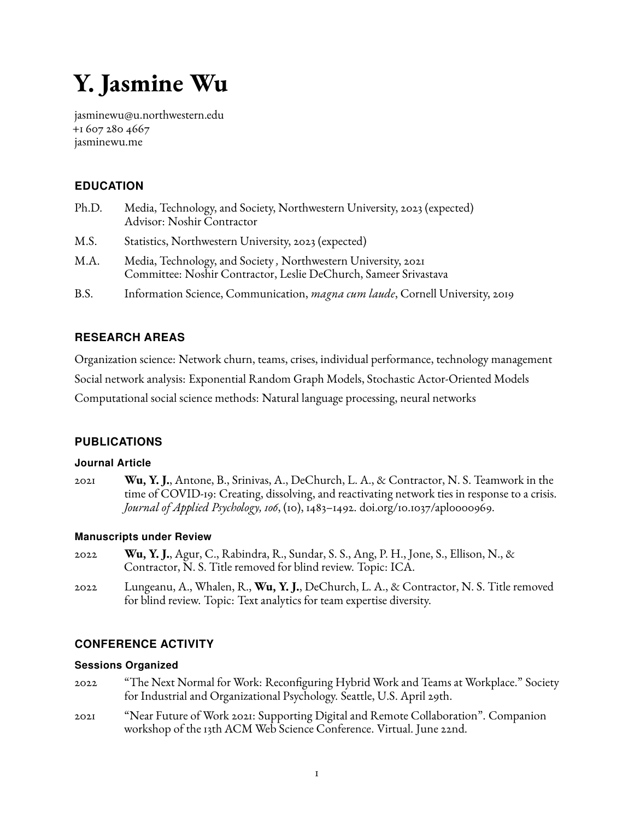# <span id="page-0-0"></span>**Y. Jasmine Wu**

[jasminewu@u.northwestern.edu](mailto:jasminewu@u.northwestern.edu) +1 607 280 4667 [jasminewu.me](www.jasminewu.me)

# **EDUCATION**

- Ph.D. Media, Technology, and Society, Northwestern University, 2023 (expected) Advisor: Noshir Contractor
- M.S. Statistics, Northwestern University, 2023 (expected)
- M.A. Media, Technology, and Society *,* Northwestern University, 2021 Committee: Noshir Contractor, Leslie DeChurch, Sameer Srivastava
- B.S. Information Science, Communication, *magna cum laude*, Cornell University, 2019

# **RESEARCH AREAS**

Organization science: Network churn, teams, crises, individual performance, technology management Social network analysis: Exponential Random Graph Models, Stochastic Actor-Oriented Models Computational social science methods: Natural language processing, neural networks

# **PUBLICATIONS**

#### **Journal Article**

2021 **Wu, Y. J.**, Antone, B., Srinivas, A., DeChurch, L. A., & Contractor, N. S. Teamwork in the time of COVID-19: Creating, dissolving, and reactivating network ties in response to a crisis. *Journal of Applied Psychology, 106*, (10), 1483–1492. [doi.org/10.1037/apl0000969.](https://doi.org/10.1037/apl0000969)

#### **Manuscripts under Review**

- 2022 **Wu, Y. J.**, Agur, C., Rabindra, R., Sundar, S. S., Ang, P. H., Jone, S., Ellison, N., & Contractor, N. S. Title removed for blind review. Topic: ICA.
- 2022 Lungeanu, A., Whalen, R., **Wu, Y. J.**, DeChurch, L. A., & Contractor, N. S. Title removed for blind review. Topic: Text analytics for team expertise diversity.

# **CONFERENCE ACTIVITY**

#### **Sessions Organized**

- 2022 "The Next Normal for Work: Reconfiguring Hybrid Work and Teams at Workplace." Society for Industrial and Organizational Psychology. Seattle, U.S. April 29th.
- 2021 "Near Future of Work 2021: Supporting Digital and Remote Collaboration". Companion workshop of the 13th ACM Web Science Conference. Virtual. June 22nd.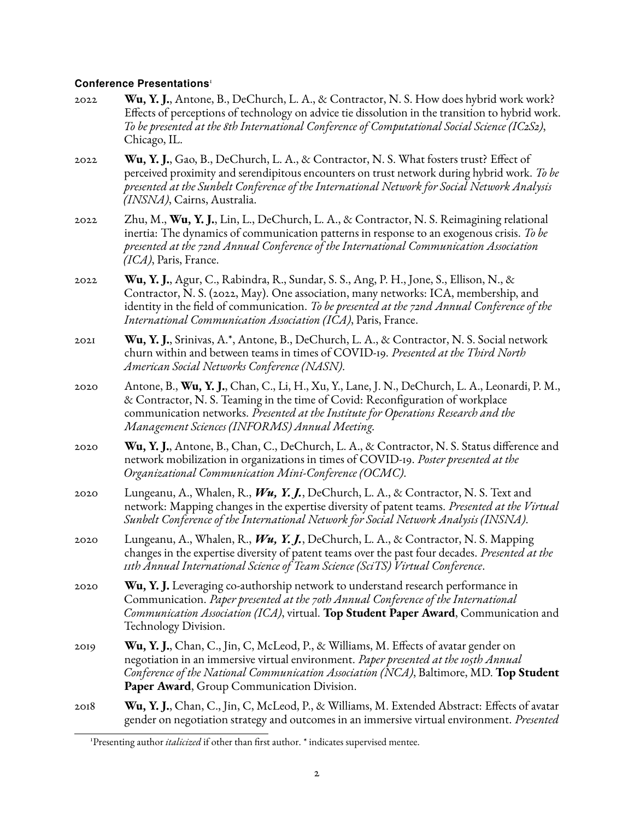#### **Conference Presentations**[1](#page-0-0)

- 2022 **Wu, Y. J.**, Antone, B., DeChurch, L. A., & Contractor, N. S. How does hybrid work work? Effects of perceptions of technology on advice tie dissolution in the transition to hybrid work. *To be presented at the 8th International Conference of Computational Social Science (IC2S2)*, Chicago, IL.
- 2022 **Wu, Y. J.**, Gao, B., DeChurch, L. A., & Contractor, N. S. What fosters trust? Effect of perceived proximity and serendipitous encounters on trust network during hybrid work. *To be presented at the Sunbelt Conference of the International Network for Social Network Analysis (INSNA)*, Cairns, Australia.
- 2022 Zhu, M., **Wu, Y. J.**, Lin, L., DeChurch, L. A., & Contractor, N. S. Reimagining relational inertia: The dynamics of communication patterns in response to an exogenous crisis. *To be presented at the 72nd Annual Conference of the International Communication Association (ICA)*, Paris, France.
- 2022 **Wu, Y. J.**, Agur, C., Rabindra, R., Sundar, S. S., Ang, P. H., Jone, S., Ellison, N., & Contractor, N. S. (2022, May). One association, many networks: ICA, membership, and identity in the field of communication. *To be presented at the 72nd Annual Conference of the International Communication Association (ICA)*, Paris, France.
- 2021 **Wu, Y. J.**, Srinivas, A.\*, Antone, B., DeChurch, L. A., & Contractor, N. S. Social network churn within and between teams in times of COVID-19. *Presented at the Third North American Social Networks Conference (NASN)*.
- 2020 Antone, B., **Wu, Y. J.**, Chan, C., Li, H., Xu, Y., Lane, J. N., DeChurch, L. A., Leonardi, P. M., & Contractor, N. S. Teaming in the time of Covid: Reconfiguration of workplace communication networks. *Presented at the Institute for Operations Research and the Management Sciences (INFORMS) Annual Meeting.*
- 2020 **Wu, Y. J.**, Antone, B., Chan, C., DeChurch, L. A., & Contractor, N. S. Status difference and network mobilization in organizations in times of COVID-19. *Poster presented at the Organizational Communication Mini-Conference (OCMC)*.
- 2020 Lungeanu, A., Whalen, R., *Wu, Y. J.*, DeChurch, L. A., & Contractor, N. S. Text and network: Mapping changes in the expertise diversity of patent teams. *Presented at the Virtual Sunbelt Conference of the International Network for Social Network Analysis (INSNA)*.
- 2020 Lungeanu, A., Whalen, R., *Wu, Y. J.*, DeChurch, L. A., & Contractor, N. S. Mapping changes in the expertise diversity of patent teams over the past four decades. *Presented at the 11th Annual International Science of Team Science (SciTS) Virtual Conference*.
- 2020 **Wu, Y. J.** Leveraging co-authorship network to understand research performance in Communication. *Paper presented at the 70th Annual Conference of the International Communication Association (ICA)*, virtual. **Top Student Paper Award**, Communication and Technology Division.
- 2019 **Wu, Y. J.**, Chan, C., Jin, C, McLeod, P., & Williams, M. Effects of avatar gender on negotiation in an immersive virtual environment. *Paper presented at the 105th Annual Conference of the National Communication Association (NCA)*, Baltimore, MD. **Top Student Paper Award**, Group Communication Division.
- 2018 **Wu, Y. J.**, Chan, C., Jin, C, McLeod, P., & Williams, M. Extended Abstract: Effects of avatar gender on negotiation strategy and outcomes in an immersive virtual environment. *Presented*

<sup>&</sup>lt;sup>1</sup>Presenting author *italicized* if other than first author. \* indicates supervised mentee.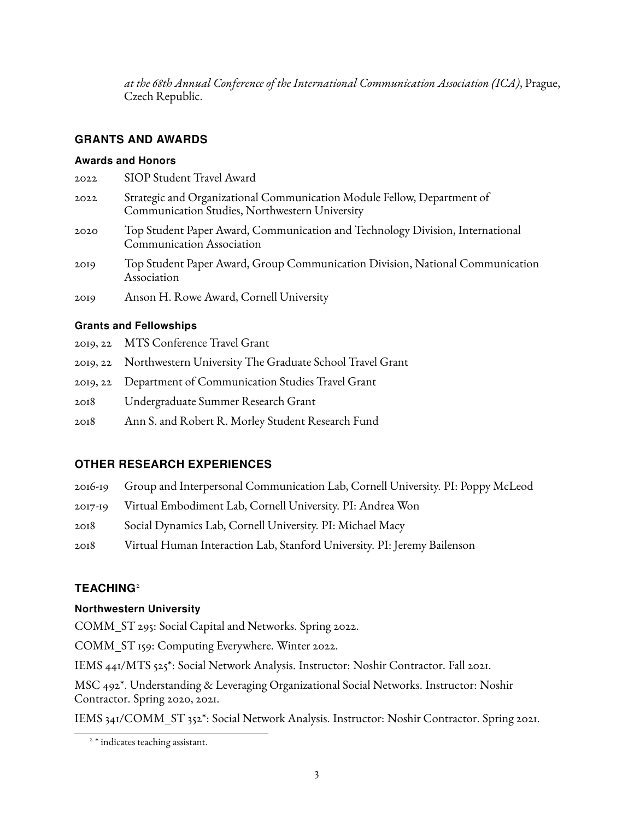*at the 68th Annual Conference of the International Communication Association (ICA)*, Prague, Czech Republic.

## **GRANTS AND AWARDS**

#### **Awards and Honors**

| 2022 | SIOP Student Travel Award                                                                                                 |
|------|---------------------------------------------------------------------------------------------------------------------------|
| 2022 | Strategic and Organizational Communication Module Fellow, Department of<br>Communication Studies, Northwestern University |
| 2020 | Top Student Paper Award, Communication and Technology Division, International<br><b>Communication Association</b>         |
| 2019 | Top Student Paper Award, Group Communication Division, National Communication<br>Association                              |
| 2019 | Anson H. Rowe Award, Cornell University                                                                                   |

#### **Grants and Fellowships**

- 2019, 22 MTS Conference Travel Grant
- 2019, 22 Northwestern University The Graduate School Travel Grant
- 2019, 22 Department of Communication Studies Travel Grant
- 2018 Undergraduate Summer Research Grant
- 2018 Ann S. and Robert R. Morley Student Research Fund

# **OTHER RESEARCH EXPERIENCES**

- 2016-19 Group and Interpersonal Communication Lab, Cornell University. PI: Poppy McLeod
- 2017-19 Virtual Embodiment Lab, Cornell University. PI: Andrea Won
- 2018 Social Dynamics Lab, Cornell University. PI: Michael Macy
- 2018 Virtual Human Interaction Lab, Stanford University. PI: Jeremy Bailenson

# **TEACHING**<sup>[2](#page-0-0)</sup>

#### **Northwestern University**

COMM\_ST 295: Social Capital and Networks. Spring 2022.

COMM\_ST 159: Computing Everywhere. Winter 2022.

IEMS 441/MTS 525\*: Social Network Analysis. Instructor: Noshir Contractor. Fall 2021.

MSC 492\*. Understanding & Leveraging Organizational Social Networks. Instructor: Noshir Contractor. Spring 2020, 2021.

IEMS 341/COMM\_ST 352\*: Social Network Analysis. Instructor: Noshir Contractor. Spring 2021.

<sup>&</sup>lt;sup>2</sup> \* indicates teaching assistant.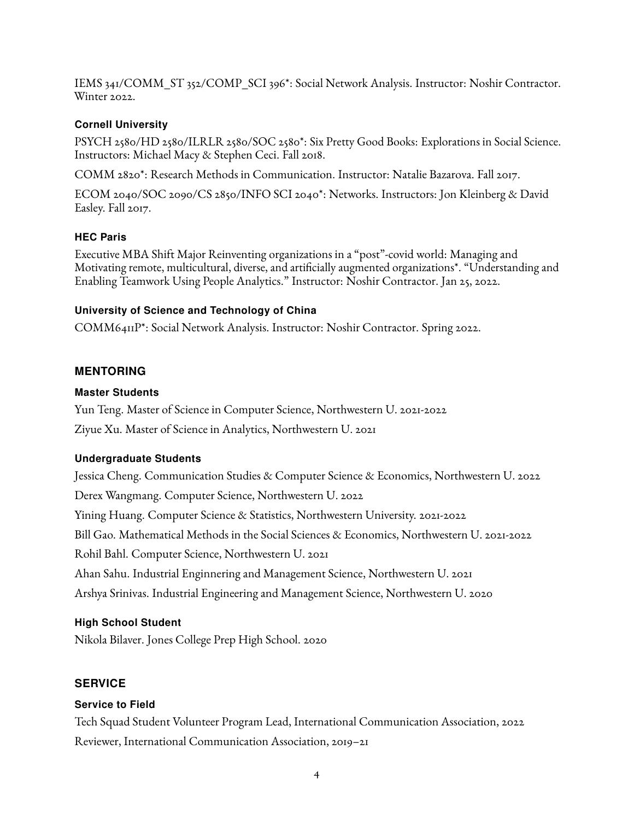IEMS 341/COMM\_ST 352/COMP\_SCI 396\*: Social Network Analysis. Instructor: Noshir Contractor. Winter 2022.

#### **Cornell University**

PSYCH 2580/HD 2580/ILRLR 2580/SOC 2580\*: Six Pretty Good Books: Explorations in Social Science. Instructors: Michael Macy & Stephen Ceci. Fall 2018.

COMM 2820\*: Research Methods in Communication. Instructor: Natalie Bazarova. Fall 2017.

ECOM 2040/SOC 2090/CS 2850/INFO SCI 2040\*: Networks. Instructors: Jon Kleinberg & David Easley. Fall 2017.

#### **HEC Paris**

Executive MBA Shift Major Reinventing organizations in a "post"-covid world: Managing and Motivating remote, multicultural, diverse, and artificially augmented organizations\*. "Understanding and Enabling Teamwork Using People Analytics." Instructor: Noshir Contractor. Jan 25, 2022.

## **University of Science and Technology of China**

COMM6411P\*: Social Network Analysis. Instructor: Noshir Contractor. Spring 2022.

# **MENTORING**

## **Master Students**

Yun Teng. Master of Science in Computer Science, Northwestern U. 2021-2022

Ziyue Xu. Master of Science in Analytics, Northwestern U. 2021

#### **Undergraduate Students**

Jessica Cheng. Communication Studies & Computer Science & Economics, Northwestern U. 2022 Derex Wangmang. Computer Science, Northwestern U. 2022 Yining Huang. Computer Science & Statistics, Northwestern University. 2021-2022 Bill Gao. Mathematical Methods in the Social Sciences & Economics, Northwestern U. 2021-2022 Rohil Bahl. Computer Science, Northwestern U. 2021 Ahan Sahu. Industrial Enginnering and Management Science, Northwestern U. 2021 Arshya Srinivas. Industrial Engineering and Management Science, Northwestern U. 2020

#### **High School Student**

Nikola Bilaver. Jones College Prep High School. 2020

# **SERVICE**

# **Service to Field**

Tech Squad Student Volunteer Program Lead, International Communication Association, 2022 Reviewer, International Communication Association, 2019–21